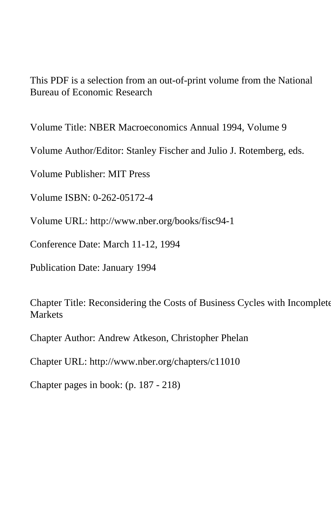This PDF is a selection from an out-of-print volume from the National Bureau of Economic Research

Volume Title: NBER Macroeconomics Annual 1994, Volume 9

Volume Author/Editor: Stanley Fischer and Julio J. Rotemberg, eds.

Volume Publisher: MIT Press

Volume ISBN: 0-262-05172-4

Volume URL: http://www.nber.org/books/fisc94-1

Conference Date: March 11-12, 1994

Publication Date: January 1994

Chapter Title: Reconsidering the Costs of Business Cycles with Incomplete **Markets** 

Chapter Author: Andrew Atkeson, Christopher Phelan

Chapter URL: http://www.nber.org/chapters/c11010

Chapter pages in book: (p. 187 - 218)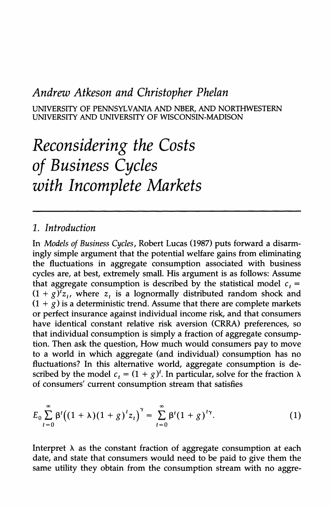# **Andrew Atkeson and Christopher Phelan**

**UNIVERSITY OF PENNSYLVANIA AND NBER, AND NORTHWESTERN UNIVERSITY AND UNIVERSITY OF WISCONSIN-MADISON** 

# **Reconsidering the Costs of Business Cycles with Incomplete Markets**

### **1. Introduction**

**In Models of Business Cycles, Robert Lucas (1987) puts forward a disarmingly simple argument that the potential welfare gains from eliminating the fluctuations in aggregate consumption associated with business cycles are, at best, extremely small. His argument is as follows: Assume**  that aggregate consumption is described by the statistical model  $c<sub>i</sub> =$  $(1 + g)^t z_t$ , where  $z_t$  is a lognormally distributed random shock and  $(1 + g)$  is a deterministic trend. Assume that there are complete markets **or perfect insurance against individual income risk, and that consumers have identical constant relative risk aversion (CRRA) preferences, so that individual consumption is simply a fraction of aggregate consumption. Then ask the question, How much would consumers pay to move to a world in which aggregate (and individual) consumption has no fluctuations? In this alternative world, aggregate consumption is de**scribed by the model  $c_t = (1 + g)^t$ . In particular, solve for the fraction  $\lambda$ **of consumers' current consumption stream that satisfies** 

$$
E_0 \sum_{t=0}^{\infty} \beta^t ((1+\lambda)(1+g)^t z_t)^{\gamma} = \sum_{t=0}^{\infty} \beta^t (1+g)^{t\gamma}.
$$
 (1)

Interpret  $\lambda$  as the constant fraction of aggregate consumption at each **date, and state that consumers would need to be paid to give them the same utility they obtain from the consumption stream with no aggre-**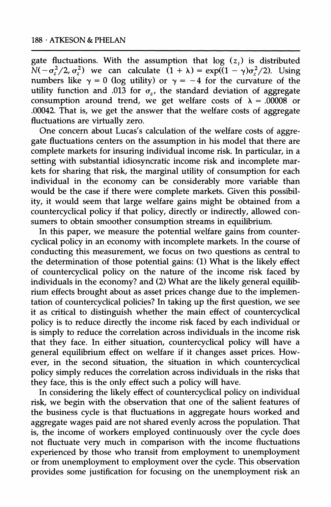gate fluctuations. With the assumption that  $log(z<sub>t</sub>)$  is distributed  $\widetilde{N}(-\sigma_{\tau}^2/2, \sigma_{z}^2)$  we can calculate  $(1 + \lambda) = \exp((1 - \gamma)\sigma_{z}^2/2)$ . Using numbers like  $\gamma = 0$  (log utility) or  $\gamma = -4$  for the curvature of the utility function and .013 for  $\sigma_z$ , the standard deviation of aggregate consumption around trend, we get welfare costs of  $\lambda = .00008$  or **.00042. That is, we get the answer that the welfare costs of aggregate fluctuations are virtually zero.** 

**One concern about Lucas's calculation of the welfare costs of aggregate fluctuations centers on the assumption in his model that there are complete markets for insuring individual income risk. In particular, in a setting with substantial idiosyncratic income risk and incomplete markets for sharing that risk, the marginal utility of consumption for each individual in the economy can be considerably more variable than would be the case if there were complete markets. Given this possibility, it would seem that large welfare gains might be obtained from a countercyclical policy if that policy, directly or indirectly, allowed consumers to obtain smoother consumption streams in equilibrium.** 

**In this paper, we measure the potential welfare gains from countercyclical policy in an economy with incomplete markets. In the course of conducting this measurement, we focus on two questions as central to the determination of those potential gains: (1) What is the likely effect of countercyclical policy on the nature of the income risk faced by individuals in the economy? and (2) What are the likely general equilibrium effects brought about as asset prices change due to the implementation of countercyclical policies? In taking up the first question, we see it as critical to distinguish whether the main effect of countercyclical policy is to reduce directly the income risk faced by each individual or is simply to reduce the correlation across individuals in the income risk that they face. In either situation, countercyclical policy will have a general equilibrium effect on welfare if it changes asset prices. However, in the second situation, the situation in which countercyclical policy simply reduces the correlation across individuals in the risks that they face, this is the only effect such a policy will have.** 

**In considering the likely effect of countercyclical policy on individual risk, we begin with the observation that one of the salient features of the business cycle is that fluctuations in aggregate hours worked and aggregate wages paid are not shared evenly across the population. That is, the income of workers employed continuously over the cycle does not fluctuate very much in comparison with the income fluctuations experienced by those who transit from employment to unemployment or from unemployment to employment over the cycle. This observation provides some justification for focusing on the unemployment risk an**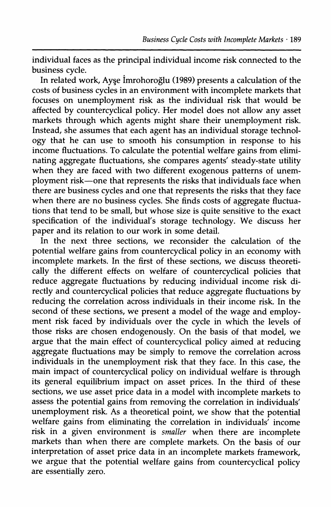**individual faces as the principal individual income risk connected to the business cycle.** 

In related work, Ayse Imrohoroğlu (1989) presents a calculation of the **costs of business cycles in an environment with incomplete markets that focuses on unemployment risk as the individual risk that would be affected by countercyclical policy. Her model does not allow any asset markets through which agents might share their unemployment risk. Instead, she assumes that each agent has an individual storage technology that he can use to smooth his consumption in response to his income fluctuations. To calculate the potential welfare gains from eliminating aggregate fluctuations, she compares agents' steady-state utility when they are faced with two different exogenous patterns of unemployment risk-one that represents the risks that individuals face when there are business cycles and one that represents the risks that they face when there are no business cycles. She finds costs of aggregate fluctuations that tend to be small, but whose size is quite sensitive to the exact specification of the individual's storage technology. We discuss her paper and its relation to our work in some detail.** 

**In the next three sections, we reconsider the calculation of the potential welfare gains from countercyclical policy in an economy with incomplete markets. In the first of these sections, we discuss theoretically the different effects on welfare of countercyclical policies that reduce aggregate fluctuations by reducing individual income risk directly and countercyclical policies that reduce aggregate fluctuations by reducing the correlation across individuals in their income risk. In the second of these sections, we present a model of the wage and employment risk faced by individuals over the cycle in which the levels of those risks are chosen endogenously. On the basis of that model, we argue that the main effect of countercyclical policy aimed at reducing aggregate fluctuations may be simply to remove the correlation across individuals in the unemployment risk that they face. In this case, the main impact of countercyclical policy on individual welfare is through its general equilibrium impact on asset prices. In the third of these sections, we use asset price data in a model with incomplete markets to assess the potential gains from removing the correlation in individuals' unemployment risk. As a theoretical point, we show that the potential welfare gains from eliminating the correlation in individuals' income risk in a given environment is smaller when there are incomplete markets than when there are complete markets. On the basis of our interpretation of asset price data in an incomplete markets framework, we argue that the potential welfare gains from countercyclical policy are essentially zero.**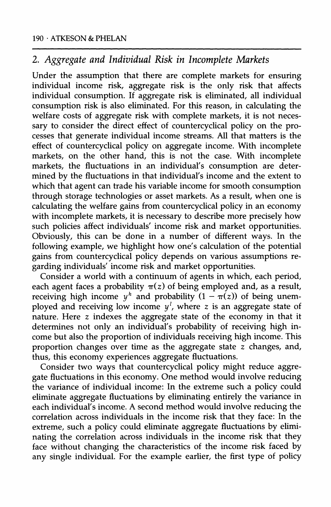## **2. Aggregate and Individual Risk in Incomplete Markets**

**Under the assumption that there are complete markets for ensuring individual income risk, aggregate risk is the only risk that affects individual consumption. If aggregate risk is eliminated, all individual consumption risk is also eliminated. For this reason, in calculating the welfare costs of aggregate risk with complete markets, it is not necessary to consider the direct effect of countercyclical policy on the processes that generate individual income streams. All that matters is the effect of countercyclical policy on aggregate income. With incomplete markets, on the other hand, this is not the case. With incomplete markets, the fluctuations in an individual's consumption are determined by the fluctuations in that individual's income and the extent to which that agent can trade his variable income for smooth consumption through storage technologies or asset markets. As a result, when one is calculating the welfare gains from countercyclical policy in an economy with incomplete markets, it is necessary to describe more precisely how such policies affect individuals' income risk and market opportunities. Obviously, this can be done in a number of different ways. In the following example, we highlight how one's calculation of the potential gains from countercyclical policy depends on various assumptions regarding individuals' income risk and market opportunities.** 

**Consider a world with a continuum of agents in which, each period,**  each agent faces a probability  $\pi(z)$  of being employed and, as a result, receiving high income  $y^h$  and probability  $(1 - \pi(z))$  of being unemployed and receiving low income  $y^l$ , where z is an aggregate state of **nature. Here z indexes the aggregate state of the economy in that it determines not only an individual's probability of receiving high income but also the proportion of individuals receiving high income. This proportion changes over time as the aggregate state z changes, and, thus, this economy experiences aggregate fluctuations.** 

**Consider two ways that countercyclical policy might reduce aggregate fluctuations in this economy. One method would involve reducing the variance of individual income: In the extreme such a policy could eliminate aggregate fluctuations by eliminating entirely the variance in each individual's income. A second method would involve reducing the correlation across individuals in the income risk that they face: In the extreme, such a policy could eliminate aggregate fluctuations by eliminating the correlation across individuals in the income risk that they face without changing the characteristics of the income risk faced by any single individual. For the example earlier, the first type of policy**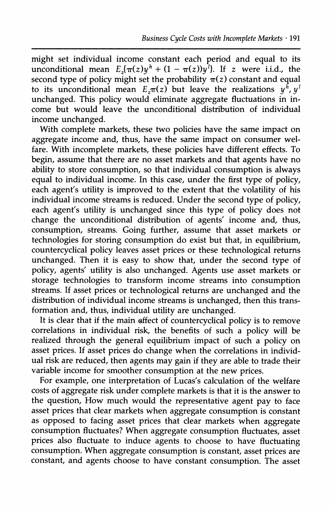**might set individual income constant each period and equal to its unconditional mean**  $E_z(\pi(z)y^h + (1 - \pi(z))y^l)$ . If z were i.i.d., the  $\mathbf{s}$  econd type of policy might set the probability  $\pi(z)$  constant and equal to its unconditional mean  $E_{\tau}(\tau)$  but leave the realizations  $\psi^{\hat{h}}$ ,  $\psi^{\hat{h}}$ unchanged. This policy would eliminate aggregate fluctuations in in**come but would leave the unconditional distribution of individual income unchanged.** 

**With complete markets, these two policies have the same impact on aggregate income and, thus, have the same impact on consumer welfare. With incomplete markets, these policies have different effects. To begin, assume that there are no asset markets and that agents have no ability to store consumption, so that individual consumption is always equal to individual income. In this case, under the first type of policy, each agent's utility is improved to the extent that the volatility of his individual income streams is reduced. Under the second type of policy, each agent's utility is unchanged since this type of policy does not change the unconditional distribution of agents' income and, thus, consumption, streams. Going further, assume that asset markets or technologies for storing consumption do exist but that, in equilibrium, countercyclical policy leaves asset prices or these technological returns**  unchanged. Then it is easy to show that, under the second type of **policy, agents' utility is also unchanged. Agents use asset markets or storage technologies to transform income streams into consumption streams. If asset prices or technological returns are unchanged and the distribution of individual income streams is unchanged, then this transformation and, thus, individual utility are unchanged.** 

**It is clear that if the main effect of countercyclical policy is to remove correlations in individual risk, the benefits of such a policy will be realized through the general equilibrium impact of such a policy on asset prices. If asset prices do change when the correlations in individual risk are reduced, then agents may gain if they are able to trade their variable income for smoother consumption at the new prices.** 

**For example, one interpretation of Lucas's calculation of the welfare costs of aggregate risk under complete markets is that it is the answer to the question, How much would the representative agent pay to face asset prices that clear markets when aggregate consumption is constant as opposed to facing asset prices that clear markets when aggregate consumption fluctuates? When aggregate consumption fluctuates, asset prices also fluctuate to induce agents to choose to have fluctuating consumption. When aggregate consumption is constant, asset prices are constant, and agents choose to have constant consumption. The asset**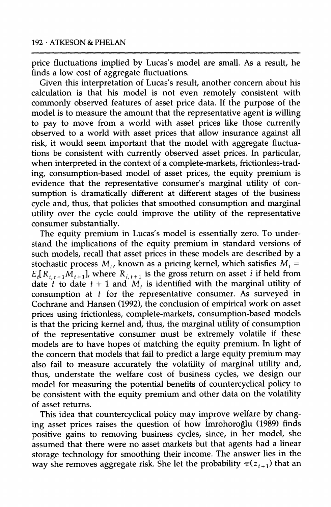**price fluctuations implied by Lucas's model are small. As a result, he finds a low cost of aggregate fluctuations.** 

**Given this interpretation of Lucas's result, another concern about his calculation is that his model is not even remotely consistent with commonly observed features of asset price data. If the purpose of the model is to measure the amount that the representative agent is willing to pay to move from a world with asset prices like those currently observed to a world with asset prices that allow insurance against all risk, it would seem important that the model with aggregate fluctuations be consistent with currently observed asset prices. In particular, when interpreted in the context of a complete-markets, frictionless-trading, consumption-based model of asset prices, the equity premium is evidence that the representative consumer's marginal utility of consumption is dramatically different at different stages of the business cycle and, thus, that policies that smoothed consumption and marginal utility over the cycle could improve the utility of the representative consumer substantially.** 

**The equity premium in Lucas's model is essentially zero. To understand the implications of the equity premium in standard versions of such models, recall that asset prices in these models are described by a**  stochastic process  $M_t$ , known as a pricing kernel, which satisfies  $M_t$  =  $E_t[R_{i,t+1}M_{t+1}]$ , where  $R_{i,t+1}$  is the gross return on asset *i* if held from date t to date  $t + 1$  and M, is identified with the marginal utility of **consumption at t for the representative consumer. As surveyed in Cochrane and Hansen (1992), the conclusion of empirical work on asset prices using frictionless, complete-markets, consumption-based models is that the pricing kernel and, thus, the marginal utility of consumption of the representative consumer must be extremely volatile if these models are to have hopes of matching the equity premium. In light of the concern that models that fail to predict a large equity premium may also fail to measure accurately the volatility of marginal utility and, thus, understate the welfare cost of business cycles, we design our model for measuring the potential benefits of countercyclical policy to be consistent with the equity premium and other data on the volatility of asset returns.** 

**This idea that countercyclical policy may improve welfare by changing asset prices raises the question of how Imrohoroglu (1989) finds positive gains to removing business cycles, since, in her model, she assumed that there were no asset markets but that agents had a linear storage technology for smoothing their income. The answer lies in the way she removes aggregate risk. She let the probability**  $\pi(z_{t+1})$  **that an**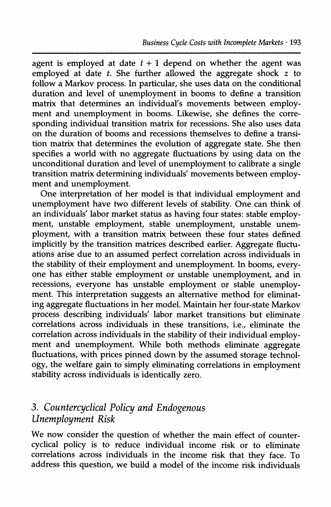agent is employed at date  $t + 1$  depend on whether the agent was **employed at date t. She further allowed the aggregate shock z to follow a Markov process. In particular, she uses data on the conditional duration and level of unemployment in booms to define a transition matrix that determines an individual's movements between employment and unemployment in booms. Likewise, she defines the corresponding individual transition matrix for recessions. She also uses data on the duration of booms and recessions themselves to define a transition matrix that determines the evolution of aggregate state. She then specifies a world with no aggregate fluctuations by using data on the unconditional duration and level of unemployment to calibrate a single transition matrix determining individuals' movements between employment and unemployment.** 

**One interpretation of her model is that individual employment and unemployment have two different levels of stability. One can think of an individuals' labor market status as having four states: stable employment, unstable employment, stable unemployment, unstable unemployment, with a transition matrix between these four states defined implicitly by the transition matrices described earlier. Aggregate fluctuations arise due to an assumed perfect correlation across individuals in the stability of their employment and unemployment. In booms, everyone has either stable employment or unstable unemployment, and in recessions, everyone has unstable employment or stable unemployment. This interpretation suggests an alternative method for eliminating aggregate fluctuations in her model. Maintain her four-state Markov process describing individuals' labor market transitions but eliminate correlations across individuals in these transitions, i.e., eliminate the correlation across individuals in the stability of their individual employment and unemployment. While both methods eliminate aggregate fluctuations, with prices pinned down by the assumed storage technology, the welfare gain to simply eliminating correlations in employment stability across individuals is identically zero.** 

# **3. Countercyclical Policy and Endogenous Unemployment Risk**

**We now consider the question of whether the main effect of countercyclical policy is to reduce individual income risk or to eliminate correlations across individuals in the income risk that they face. To address this question, we build a model of the income risk individuals**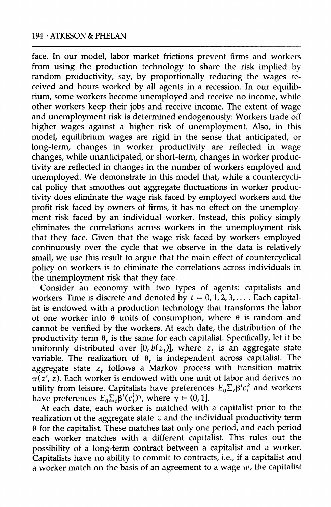**face. In our model, labor market frictions prevent firms and workers from using the production technology to share the risk implied by random productivity, say, by proportionally reducing the wages received and hours worked by all agents in a recession. In our equilibrium, some workers become unemployed and receive no income, while other workers keep their jobs and receive income. The extent of wage and unemployment risk is determined endogenously: Workers trade off higher wages against a higher risk of unemployment. Also, in this model, equilibrium wages are rigid in the sense that anticipated, or long-term, changes in worker productivity are reflected in wage changes, while unanticipated, or short-term, changes in worker productivity are reflected in changes in the number of workers employed and unemployed. We demonstrate in this model that, while a countercyclical policy that smoothes out aggregate fluctuations in worker productivity does eliminate the wage risk faced by employed workers and the profit risk faced by owners of firms, it has no effect on the unemployment risk faced by an individual worker. Instead, this policy simply eliminates the correlations across workers in the unemployment risk that they face. Given that the wage risk faced by workers employed continuously over the cycle that we observe in the data is relatively small, we use this result to argue that the main effect of countercyclical policy on workers is to eliminate the correlations across individuals in the unemployment risk that they face.** 

**Consider an economy with two types of agents: capitalists and**  workers. Time is discrete and denoted by  $t = 0, 1, 2, 3, \ldots$ . Each capital**ist is endowed with a production technology that transforms the labor**  of one worker into  $\theta$  units of consumption, where  $\theta$  is random and **cannot be verified by the workers. At each date, the distribution of the**  productivity term  $\theta_t$  is the same for each capitalist. Specifically, let it be uniformly distributed over  $[0, b(z_t)]$ , where  $z_t$  is an aggregate state **variable.** The realization of  $\theta_t$  is independent across capitalist. The aggregate state  $z_t$  follows a Markov process with transition matrix  $\pi(z', z)$ . Each worker is endowed with one unit of labor and derives no **utility from leisure. Capitalists have preferences**  $E_0 \Sigma_i \beta^i c_i^k$  **and workers** have preferences  $E_0 \Sigma_t \mathbf{\beta}^t(c_t^1)$ <sup>y</sup>, where  $\gamma \in (0, 1]$ .

**At each date, each worker is matched with a capitalist prior to the realization of the aggregate state z and the individual productivity term 0 for the capitalist. These matches last only one period, and each period each worker matches with a different capitalist. This rules out the possibility of a long-term contract between a capitalist and a worker. Capitalists have no ability to commit to contracts, i.e., if a capitalist and a worker match on the basis of an agreement to a wage w, the capitalist**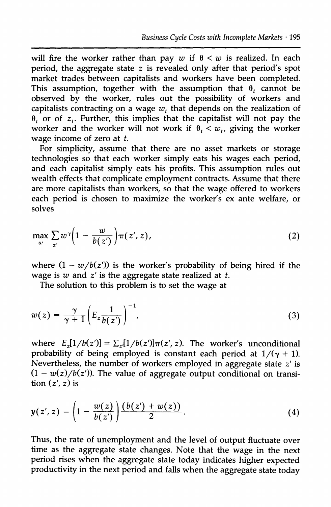will fire the worker rather than pay  $w$  if  $\theta < w$  is realized. In each **period, the aggregate state z is revealed only after that period's spot market trades between capitalists and workers have been completed.**  This assumption, together with the assumption that  $\theta$ , cannot be **observed by the worker, rules out the possibility of workers and**  capitalists contracting on a wage  $w_t$ , that depends on the realization of  $\theta_t$  or of  $z_t$ . Further, this implies that the capitalist will not pay the worker and the worker will not work if  $\theta_t < w_t$ , giving the worker **wage income of zero at t.** 

**For simplicity, assume that there are no asset markets or storage technologies so that each worker simply eats his wages each period, and each capitalist simply eats his profits. This assumption rules out wealth effects that complicate employment contracts. Assume that there are more capitalists than workers, so that the wage offered to workers each period is chosen to maximize the worker's ex ante welfare, or solves** 

$$
\max_{w} \sum_{z'} w^{\gamma} \bigg( 1 - \frac{w}{b(z')} \bigg) \pi(z', z), \tag{2}
$$

where  $(1 - w/b(z))$  is the worker's probability of being hired if the **wage is w and z' is the aggregate state realized at t.** 

**The solution to this problem is to set the wage at** 

$$
w(z) = \frac{\gamma}{\gamma + 1} \left( E_z \frac{1}{b(z')} \right)^{-1}, \tag{3}
$$

where  $E_{z}[1/b(z')] = \sum_{z} [1/b(z')] \pi(z', z)$ . The worker's unconditional probability of being employed is constant each period at  $1/(\gamma + 1)$ . **Nevertheless, the number of workers employed in aggregate state z' is**   $(1 - w(z)/b(z')$ ). The value of aggregate output conditional on transi- $\frac{t}{\sin(z', z)}$  is

$$
y(z', z) = \left(1 - \frac{w(z)}{b(z')}\right) \frac{(b(z') + w(z))}{2}.
$$
 (4)

**Thus, the rate of unemployment and the level of output fluctuate over time as the aggregate state changes. Note that the wage in the next period rises when the aggregate state today indicates higher expected productivity in the next period and falls when the aggregate state today**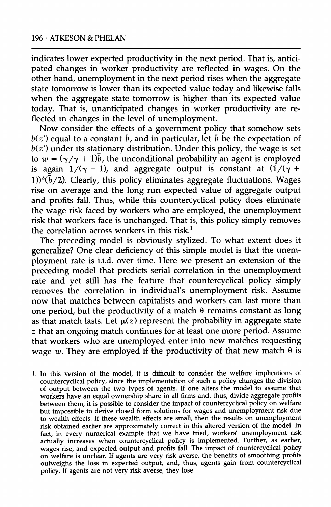**indicates lower expected productivity in the next period. That is, anticipated changes in worker productivity are reflected in wages. On the other hand, unemployment in the next period rises when the aggregate state tomorrow is lower than its expected value today and likewise falls when the aggregate state tomorrow is higher than its expected value today. That is, unanticipated changes in worker productivity are reflected in changes in the level of unemployment.** 

**Now consider the effects of a government policy that somehow sets**   $b(z')$  equal to a constant  $\bar{b}$ , and in particular, let  $\bar{b}$  be the expectation of **b(z') under its stationary distribution. Under this policy, the wage is set**  to  $w = (\gamma/\gamma + 1)\bar{b}$ , the unconditional probability an agent is employed is again  $1/(\gamma + 1)$ , and aggregate output is constant at  $\left(1/(\gamma + 1)\right)$ 1) $(2\bar{b}/2)$ . Clearly, this policy eliminates aggregate fluctuations. Wages **rise on average and the long run expected value of aggregate output and profits fall. Thus, while this countercyclical policy does eliminate the wage risk faced by workers who are employed, the unemployment risk that workers face is unchanged. That is, this policy simply removes the correlation across workers in this risk.1** 

**The preceding model is obviously stylized. To what extent does it generalize? One clear deficiency of this simple model is that the unemployment rate is i.i.d. over time. Here we present an extension of the preceding model that predicts serial correlation in the unemployment rate and yet still has the feature that countercyclical policy simply removes the correlation in individual's unemployment risk. Assume now that matches between capitalists and workers can last more than**  one period, but the productivity of a match  $\theta$  remains constant as long as that match lasts. Let  $\mu(z)$  represent the probability in aggregate state **z that an ongoing match continues for at least one more period. Assume that workers who are unemployed enter into new matches requesting**  wage w. They are employed if the productivity of that new match  $\theta$  is

**1. In this version of the model, it is difficult to consider the welfare implications of countercyclical policy, since the implementation of such a policy changes the division of output between the two types of agents. If one alters the model to assume that workers have an equal ownership share in all firms and, thus, divide aggregate profits between them, it is possible to consider the impact of countercyclical policy on welfare but impossible to derive closed form solutions for wages and unemployment risk due to wealth effects. If these wealth effects are small, then the results on unemployment risk obtained earlier are approximately correct in this altered version of the model. In fact, in every numerical example that we have tried, workers' unemployment risk actually increases when countercyclical policy is implemented. Further, as earlier,**  wages rise, and expected output and profits fall. The impact of countercyclical policy **on welfare is unclear. If agents are very risk averse, the benefits of smoothing profits outweighs the loss in expected output, and, thus, agents gain from countercyclical policy. If agents are not very risk averse, they lose.**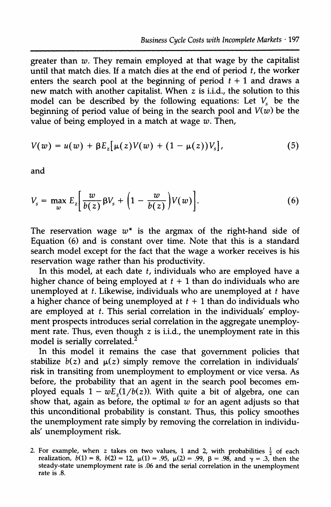**greater than w. They remain employed at that wage by the capitalist until that match dies. If a match dies at the end of period t, the worker**  enters the search pool at the beginning of period  $t + 1$  and draws a **new match with another capitalist. When z is i.i.d., the solution to this**  model can be described by the following equations: Let  $V_s$  be the beginning of period value of being in the search pool and  $V(w)$  be the **value of being employed in a match at wage w. Then,** 

$$
V(w) = u(w) + \beta E_z[\mu(z)V(w) + (1 - \mu(z))V_s],
$$
 (5)

**and** 

$$
V_s = \max_w E_z \bigg[ \frac{w}{b(z)} \beta V_s + \bigg( 1 - \frac{w}{b(z)} \bigg) V(w) \bigg]. \tag{6}
$$

The reservation wage  $w^*$  is the argmax of the right-hand side of **Equation (6) and is constant over time. Note that this is a standard search model except for the fact that the wage a worker receives is his reservation wage rather than his productivity.** 

**In this model, at each date t, individuals who are employed have a**  higher chance of being employed at  $t + 1$  than do individuals who are **unemployed at t. Likewise, individuals who are unemployed at t have**  a higher chance of being unemployed at  $t + 1$  than do individuals who **are employed at t. This serial correlation in the individuals' employment prospects introduces serial correlation in the aggregate unemployment rate. Thus, even though z is i.i.d., the unemployment rate in this model is serially correlated.2** 

**In this model it remains the case that government policies that**  stabilize  $b(z)$  and  $\mu(z)$  simply remove the correlation in individuals' **risk in transiting from unemployment to employment or vice versa. As before, the probability that an agent in the search pool becomes em**ployed equals  $1 - wE<sub>z</sub>(1/b(z))$ . With quite a bit of algebra, one can show that, again as before, the optimal  $w$  for an agent adjusts so that **this unconditional probability is constant. Thus, this policy smoothes the unemployment rate simply by removing the correlation in individuals' unemployment risk.** 

<sup>2.</sup> For example, when z takes on two values, 1 and 2, with probabilities  $\frac{1}{2}$  of each **realization,**  $b(1) = 8$ ,  $b(2) = 12$ ,  $\mu(1) = .95$ ,  $\mu(2) = .99$ ,  $\beta = .98$ , and  $\gamma = .3$ , then the **steady-state unemployment rate is .06 and the serial correlation in the unemployment rate is .8.**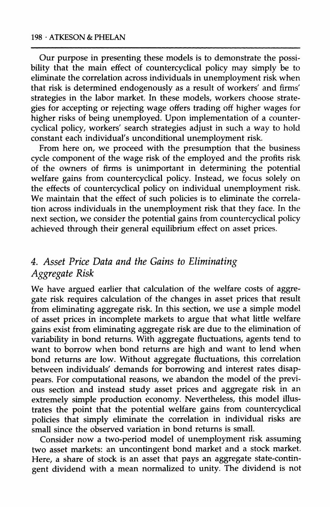**Our purpose in presenting these models is to demonstrate the possibility that the main effect of countercyclical policy may simply be to eliminate the correlation across individuals in unemployment risk when that risk is determined endogenously as a result of workers' and firms' strategies in the labor market. In these models, workers choose strategies for accepting or rejecting wage offers trading off higher wages for higher risks of being unemployed. Upon implementation of a countercyclical policy, workers' search strategies adjust in such a way to hold constant each individual's unconditional unemployment risk.** 

**From here on, we proceed with the presumption that the business cycle component of the wage risk of the employed and the profits risk of the owners of firms is unimportant in determining the potential welfare gains from countercyclical policy. Instead, we focus solely on the effects of countercyclical policy on individual unemployment risk. We maintain that the effect of such policies is to eliminate the correlation across individuals in the unemployment risk that they face. In the next section, we consider the potential gains from countercyclical policy achieved through their general equilibrium effect on asset prices.** 

## **4. Asset Price Data and the Gains to Eliminating Aggregate Risk**

**We have argued earlier that calculation of the welfare costs of aggregate risk requires calculation of the changes in asset prices that result from eliminating aggregate risk. In this section, we use a simple model of asset prices in incomplete markets to argue that what little welfare gains exist from eliminating aggregate risk are due to the elimination of variability in bond returns. With aggregate fluctuations, agents tend to want to borrow when bond returns are high and want to lend when bond returns are low. Without aggregate fluctuations, this correlation between individuals' demands for borrowing and interest rates disappears. For computational reasons, we abandon the model of the previous section and instead study asset prices and aggregate risk in an extremely simple production economy. Nevertheless, this model illustrates the point that the potential welfare gains from countercyclical policies that simply eliminate the correlation in individual risks are small since the observed variation in bond returns is small.** 

**Consider now a two-period model of unemployment risk assuming two asset markets: an uncontingent bond market and a stock market. Here, a share of stock is an asset that pays an aggregate state-contingent dividend with a mean normalized to unity. The dividend is not**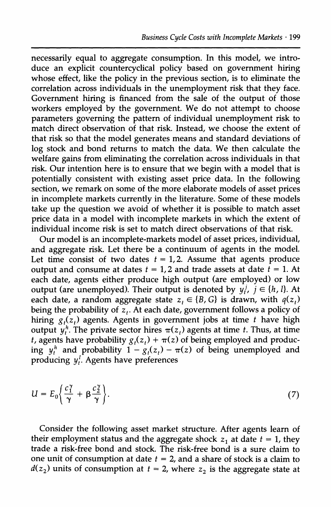**necessarily equal to aggregate consumption. In this model, we introduce an explicit countercyclical policy based on government hiring**  whose effect, like the policy in the previous section, is to eliminate the **correlation across individuals in the unemployment risk that they face. Government hiring is financed from the sale of the output of those workers employed by the government. We do not attempt to choose parameters governing the pattern of individual unemployment risk to match direct observation of that risk. Instead, we choose the extent of that risk so that the model generates means and standard deviations of log stock and bond returns to match the data. We then calculate the welfare gains from eliminating the correlation across individuals in that risk. Our intention here is to ensure that we begin with a model that is potentially consistent with existing asset price data. In the following section, we remark on some of the more elaborate models of asset prices in incomplete markets currently in the literature. Some of these models take up the question we avoid of whether it is possible to match asset price data in a model with incomplete markets in which the extent of individual income risk is set to match direct observations of that risk.** 

**Our model is an incomplete-markets model of asset prices, individual, and aggregate risk. Let there be a continuum of agents in the model.**  Let time consist of two dates  $t = 1, 2$ . Assume that agents produce output and consume at dates  $t = 1,2$  and trade assets at date  $t = 1$ . At **each date, agents either produce high output (are employed) or low**  output (are unemployed). Their output is denoted by  $y_i^j$ ,  $j \in \{h, l\}$ . At each date, a random aggregate state  $z_t \in \{B, G\}$  is drawn, with  $q(z_t)$ being the probability of z<sub>t</sub>. At each date, government follows a policy of hiring  $g_i(z_t)$  agents. Agents in government jobs at time t have high output  $\psi_t^h$ . The private sector hires  $\pi(z_t)$  agents at time *t*. Thus, at time *t***, agents have probability**  $g_t(z_t) + \pi(z)$  **of being employed and produc**ing  $y_t^h$  and probability  $1 - g_t(z_t) - \pi(z)$  of being unemployed and **producing y[. Agents have preferences** 

$$
U = E_0 \left\{ \frac{c_1^{\gamma}}{\gamma} + \beta \frac{c_2^{\gamma}}{\gamma} \right\}.
$$
 (7)

**Consider the following asset market structure. After agents learn of**  their employment status and the aggregate shock  $z_1$  at date  $t = 1$ , they **trade a risk-free bond and stock. The risk-free bond is a sure claim to**  one unit of consumption at date  $t = 2$ , and a share of stock is a claim to  $d(z_2)$  units of consumption at  $t = 2$ , where  $z_2$  is the aggregate state at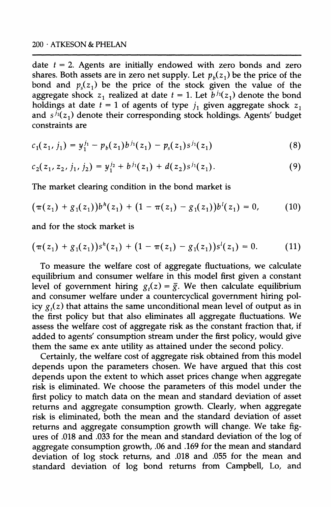**date t = 2. Agents are initially endowed with zero bonds and zero**  shares. Both assets are in zero net supply. Let  $p_b(z_1)$  be the price of the bond and  $p_s(z_1)$  be the price of the stock given the value of the aggregate shock  $z_1$  realized at date  $t = 1$ . Let  $\bar{b}^{j_1}(z_1)$  denote the bond holdings at date  $t = 1$  of agents of type  $j_1$  given aggregate shock  $z_1$ and  $s^{j_1}(z_1)$  denote their corresponding stock holdings. Agents' budget **constraints are** 

$$
c_1(z_1, j_1) = y_1^{j_1} - p_b(z_1)b^{j_1}(z_1) - p_s(z_1)s^{j_1}(z_1)
$$
 (8)

$$
c_2(z_1, z_2, j_1, j_2) = y_1^{j_2} + b^{j_1}(z_1) + d(z_2)s^{j_1}(z_1).
$$
 (9)

**The market clearing condition in the bond market is** 

$$
(\pi(z_1) + g_1(z_1))b^h(z_1) + (1 - \pi(z_1) - g_1(z_1))b^l(z_1) = 0, \qquad (10)
$$

**and for the stock market is** 

$$
(\pi(z_1) + g_1(z_1))s^h(z_1) + (1 - \pi(z_1) - g_1(z_1))s^l(z_1) = 0. \qquad (11)
$$

**To measure the welfare cost of aggregate fluctuations, we calculate equilibrium and consumer welfare in this model first given a constant**  level of government hiring  $g_t(z) = \overline{g}$ . We then calculate equilibrium **and consumer welfare under a countercyclical government hiring pol**icy  $g_i(z)$  that attains the same unconditional mean level of output as in **the first policy but that also eliminates all aggregate fluctuations. We assess the welfare cost of aggregate risk as the constant fraction that, if added to agents' consumption stream under the first policy, would give them the same ex ante utility as attained under the second policy.** 

**Certainly, the welfare cost of aggregate risk obtained from this model depends upon the parameters chosen. We have argued that this cost depends upon the extent to which asset prices change when aggregate risk is eliminated. We choose the parameters of this model under the first policy to match data on the mean and standard deviation of asset returns and aggregate consumption growth. Clearly, when aggregate risk is eliminated, both the mean and the standard deviation of asset returns and aggregate consumption growth will change. We take figures of .018 and .033 for the mean and standard deviation of the log of aggregate consumption growth, .06 and .169 for the mean and standard deviation of log stock returns, and .018 and .055 for the mean and standard deviation of log bond returns from Campbell, Lo, and**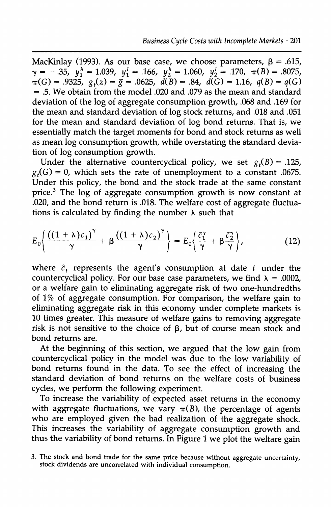MacKinlay (1993). As our base case, we choose parameters,  $\beta = .615$ ,  $\gamma = -.35, y_1^h = 1.039, y_1^l = .166, y_2^h = 1.060, y_2^l = .170, \pi(B) = .8075,$  $\tau(G) = .9325$ ,  $g_t(z) = \overline{g} = .0625$ ,  $d(B) = .84$ ,  $d(G) = 1.16$ ,  $q(B) = q(G)$ **= .5. We obtain from the model .020 and .079 as the mean and standard deviation of the log of aggregate consumption growth, .068 and .169 for the mean and standard deviation of log stock returns, and .018 and .051 for the mean and standard deviation of log bond returns. That is, we essentially match the target moments for bond and stock returns as well as mean log consumption growth, while overstating the standard deviation of log consumption growth.** 

Under the alternative countercyclical policy, we set  $g_t(B) = .125$ ,  $g_t(G) = 0$ , which sets the rate of unemployment to a constant .0675. **Under this policy, the bond and the stock trade at the same constant price.3 The log of aggregate consumption growth is now constant at .020, and the bond return is .018. The welfare cost of aggregate fluctua**tions is calculated by finding the number  $\lambda$  such that

$$
E_0\bigg\{\frac{\left((1+\lambda)c_1\right)^{\gamma}}{\gamma}+\beta\frac{\left((1+\lambda)c_2\right)^{\gamma}}{\gamma}\bigg\}=E_0\bigg\{\frac{\tilde{c}_1^{\gamma}}{\gamma}+\beta\frac{\tilde{c}_2^{\gamma}}{\gamma}\bigg\},\qquad(12)
$$

where  $\tilde{c}_t$  represents the agent's consumption at date  $t$  under the countercyclical policy. For our base case parameters, we find  $\lambda = .0002$ , **or a welfare gain to eliminating aggregate risk of two one-hundredths of 1% of aggregate consumption. For comparison, the welfare gain to eliminating aggregate risk in this economy under complete markets is 10 times greater. This measure of welfare gains to removing aggregate risk is not sensitive to the choice of p, but of course mean stock and bond returns are.** 

**At the beginning of this section, we argued that the low gain from countercyclical policy in the model was due to the low variability of bond returns found in the data. To see the effect of increasing the standard deviation of bond returns on the welfare costs of business cycles, we perform the following experiment.** 

**To increase the variability of expected asset returns in the economy**  with aggregate fluctuations, we vary  $\pi(B)$ , the percentage of agents **who are employed given the bad realization of the aggregate shock. This increases the variability of aggregate consumption growth and thus the variability of bond returns. In Figure 1 we plot the welfare gain** 

**<sup>3.</sup> The stock and bond trade for the same price because without aggregate uncertainty, stock dividends are uncorrelated with individual consumption.**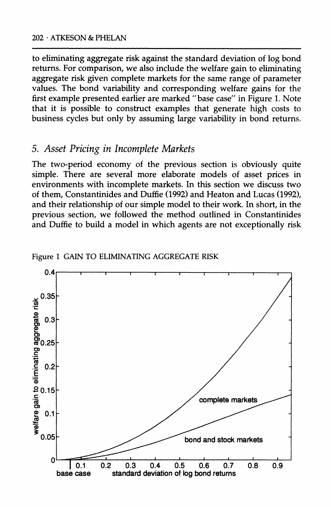**to eliminating aggregate risk against the standard deviation of log bond returns. For comparison, we also include the welfare gain to eliminating aggregate risk given complete markets for the same range of parameter values. The bond variability and corresponding welfare gains for the first example presented earlier are marked "base case" in Figure 1. Note that it is possible to construct examples that generate high costs to business cycles but only by assuming large variability in bond returns.** 

### **5. Asset Pricing in Incomplete Markets**

**The two-period economy of the previous section is obviously quite simple. There are several more elaborate models of asset prices in environments with incomplete markets. In this section we discuss two of them, Constantinides and Duffie (1992) and Heaton and Lucas (1992), and their relationship of our simple model to their work. In short, in the previous section, we followed the method outlined in Constantinides and Duffie to build a model in which agents are not exceptionally risk** 



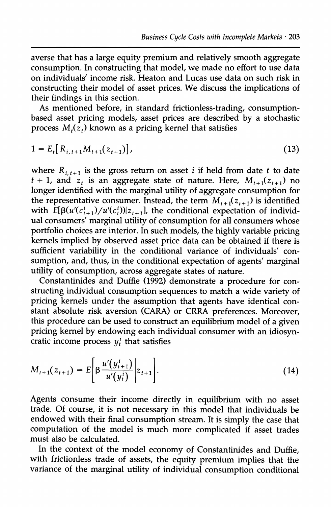**averse that has a large equity premium and relatively smooth aggregate consumption. In constructing that model, we made no effort to use data on individuals' income risk. Heaton and Lucas use data on such risk in constructing their model of asset prices. We discuss the implications of their findings in this section.** 

**As mentioned before, in standard frictionless-trading, consumptionbased asset pricing models, asset prices are described by a stochastic process**  $M_{1}(z_{t})$  known as a pricing kernel that satisfies

$$
1 = E_t[R_{i,t+1}M_{t+1}(z_{t+1})],
$$
\n(13)

where  $R_{i,t+1}$  is the gross return on asset *i* if held from date *t* to date  $t + 1$ , and  $z_t$  is an aggregate state of nature. Here,  $M_{t+1}(z_{t+1})$  no **longer identified with the marginal utility of aggregate consumption for**  the representative consumer. Instead, the term  $M_{t+1}(z_{t+1})$  is identified with  $\hat{E}[\beta(u'(c_{t+1}^i)/u'(c_t^i))]z_{t+1}$ , the conditional expectation of individ**ual consumers' marginal utility of consumption for all consumers whose portfolio choices are interior. In such models, the highly variable pricing kernels implied by observed asset price data can be obtained if there is sufficient variability in the conditional variance of individuals' consumption, and, thus, in the conditional expectation of agents' marginal utility of consumption, across aggregate states of nature.** 

**Constantinides and Duffie (1992) demonstrate a procedure for constructing individual consumption sequences to match a wide variety of pricing kernels under the assumption that agents have identical constant absolute risk aversion (CARA) or CRRA preferences. Moreover, this procedure can be used to construct an equilibrium model of a given pricing kernel by endowing each individual consumer with an idiosyn**cratic income process  $y_i^i$  that satisfies

$$
M_{t+1}(z_{t+1}) = E\bigg[\beta \frac{u'(y_{t+1}^i)}{u'(y_t^i)} \bigg| z_{t+1} \bigg].
$$
\n(14)

**Agents consume their income directly in equilibrium with no asset trade. Of course, it is not necessary in this model that individuals be endowed with their final consumption stream. It is simply the case that computation of the model is much more complicated if asset trades must also be calculated.** 

**In the context of the model economy of Constantinides and Duffie, with frictionless trade of assets, the equity premium implies that the variance of the marginal utility of individual consumption conditional**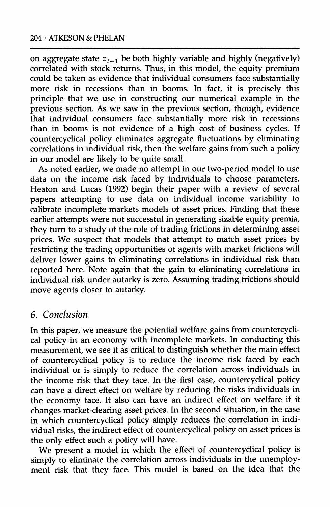on aggregate state  $z_{t+1}$  be both highly variable and highly (negatively) **correlated with stock returns. Thus, in this model, the equity premium could be taken as evidence that individual consumers face substantially more risk in recessions than in booms. In fact, it is precisely this principle that we use in constructing our numerical example in the previous section. As we saw in the previous section, though, evidence that individual consumers face substantially more risk in recessions than in booms is not evidence of a high cost of business cycles. If countercyclical policy eliminates aggregate fluctuations by eliminating correlations in individual risk, then the welfare gains from such a policy in our model are likely to be quite small.** 

**As noted earlier, we made no attempt in our two-period model to use data on the income risk faced by individuals to choose parameters. Heaton and Lucas (1992) begin their paper with a review of several papers attempting to use data on individual income variability to calibrate incomplete markets models of asset prices. Finding that these earlier attempts were not successful in generating sizable equity premia, they turn to a study of the role of trading frictions in determining asset prices. We suspect that models that attempt to match asset prices by restricting the trading opportunities of agents with market frictions will deliver lower gains to eliminating correlations in individual risk than reported here. Note again that the gain to eliminating correlations in individual risk under autarky is zero. Assuming trading frictions should move agents closer to autarky.** 

## **6. Conclusion**

**In this paper, we measure the potential welfare gains from countercyclical policy in an economy with incomplete markets. In conducting this measurement, we see it as critical to distinguish whether the main effect of countercyclical policy is to reduce the income risk faced by each individual or is simply to reduce the correlation across individuals in the income risk that they face. In the first case, countercyclical policy can have a direct effect on welfare by reducing the risks individuals in**  the economy face. It also can have an indirect effect on welfare if it **changes market-clearing asset prices. In the second situation, in the case in which countercyclical policy simply reduces the correlation in individual risks, the indirect effect of countercyclical policy on asset prices is the only effect such a policy will have.** 

**We present a model in which the effect of countercyclical policy is simply to eliminate the correlation across individuals in the unemployment risk that they face. This model is based on the idea that the**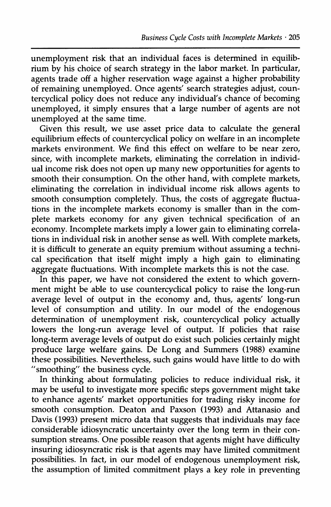**unemployment risk that an individual faces is determined in equilibrium by his choice of search strategy in the labor market. In particular, agents trade off a higher reservation wage against a higher probability of remaining unemployed. Once agents' search strategies adjust, countercyclical policy does not reduce any individual's chance of becoming unemployed, it simply ensures that a large number of agents are not unemployed at the same time.** 

**Given this result, we use asset price data to calculate the general equilibrium effects of countercyclical policy on welfare in an incomplete markets environment. We find this effect on welfare to be near zero, since, with incomplete markets, eliminating the correlation in individual income risk does not open up many new opportunities for agents to smooth their consumption. On the other hand, with complete markets, eliminating the correlation in individual income risk allows agents to smooth consumption completely. Thus, the costs of aggregate fluctuations in the incomplete markets economy is smaller than in the complete markets economy for any given technical specification of an economy. Incomplete markets imply a lower gain to eliminating correlations in individual risk in another sense as well. With complete markets, it is difficult to generate an equity premium without assuming a technical specification that itself might imply a high gain to eliminating aggregate fluctuations. With incomplete markets this is not the case.** 

**In this paper, we have not considered the extent to which government might be able to use countercyclical policy to raise the long-run average level of output in the economy and, thus, agents' long-run level of consumption and utility. In our model of the endogenous determination of unemployment risk, countercyclical policy actually lowers the long-run average level of output. If policies that raise long-term average levels of output do exist such policies certainly might produce large welfare gains. De Long and Summers (1988) examine these possibilities. Nevertheless, such gains would have little to do with "smoothing" the business cycle.** 

**In thinking about formulating policies to reduce individual risk, it may be useful to investigate more specific steps government might take to enhance agents' market opportunities for trading risky income for smooth consumption. Deaton and Paxson (1993) and Attanasio and Davis (1993) present micro data that suggests that individuals may face considerable idiosyncratic uncertainty over the long term in their consumption streams. One possible reason that agents might have difficulty insuring idiosyncratic risk is that agents may have limited commitment possibilities. In fact, in our model of endogenous unemployment risk, the assumption of limited commitment plays a key role in preventing**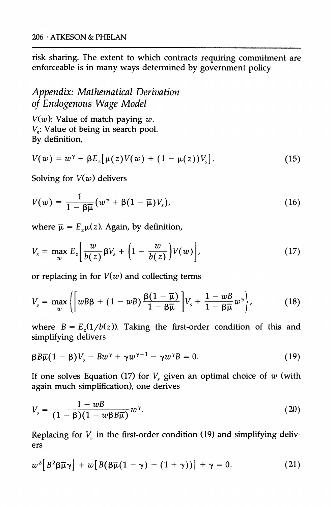**risk sharing. The extent to which contracts requiring commitment are enforceable is in many ways determined by government policy.** 

# **Appendix: Mathematical Derivation of Endogenous Wage Model**

 $V(w)$ : Value of match paying  $w$ .  $V<sub>s</sub>$ : Value of being in search pool. **By definition,** 

$$
V(w) = w^{\gamma} + \beta E_z[\mu(z)V(w) + (1 - \mu(z))V_s].
$$
 (15)

**Solving for V(w) delivers** 

$$
V(w) = \frac{1}{1 - \beta \overline{\mu}} \left( w^{\gamma} + \beta (1 - \overline{\mu}) V_s \right), \tag{16}
$$

where  $\bar{\mu} = E_z \mu(z)$ . Again, by definition,

$$
V_s = \max_w E_z \bigg[ \frac{w}{b(z)} \beta V_s + \bigg( 1 - \frac{w}{b(z)} \bigg) V(w) \bigg], \tag{17}
$$

**or replacing in for V(w) and collecting terms** 

$$
V_s = \max_{w} \left\{ \left[ wB\beta + (1 - wB) \frac{\beta(1 - \overline{\mu})}{1 - \beta \overline{\mu}} \right] V_s + \frac{1 - wB}{1 - \beta \overline{\mu}} w^{\gamma} \right\},
$$
(18)

where  $B = E<sub>z</sub>(1/b(z))$ . Taking the first-order condition of this and **simplifying delivers** 

$$
\beta B \overline{\mu} (1 - \beta) V_s - B w^{\gamma} + \gamma w^{\gamma - 1} - \gamma w^{\gamma} B = 0. \qquad (19)
$$

If one solves Equation (17) for  $V_s$  given an optimal choice of  $w$  (with **again much simplification), one derives** 

$$
V_s = \frac{1 - wB}{(1 - \beta)(1 - w\beta B\overline{\mu})}w^{\gamma}.
$$
 (20)

Replacing for  $V_s$  in the first-order condition (19) and simplifying deliv**ers** 

$$
w^{2}\left[B^{2}\beta\overline{\mu}\gamma\right] + w\left[B(\beta\overline{\mu}(1-\gamma) - (1+\gamma))\right] + \gamma = 0. \tag{21}
$$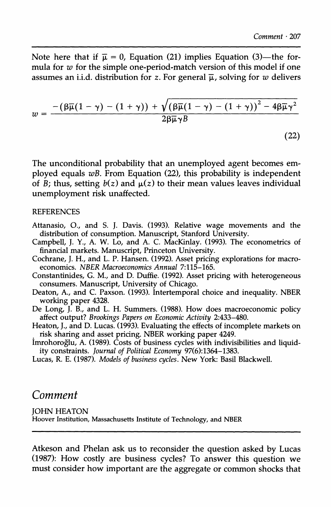**(22)** 

Note here that if  $\bar{\mu} = 0$ , Equation (21) implies Equation (3)—the for**mula for w for the simple one-period-match version of this model if one**  assumes an i.i.d. distribution for z. For general  $\overline{\mu}$ , solving for w delivers

$$
w=\frac{-\left(\beta\overline{\mu}(1-\gamma)-(1+\gamma)\right)+\sqrt{\left(\beta\overline{\mu}(1-\gamma)-(1+\gamma)\right)^2-4\beta\overline{\mu}\gamma^2}}{2\beta\overline{\mu}\gamma B}
$$

**The unconditional probability that an unemployed agent becomes employed equals wB. From Equation (22), this probability is independent**  of B; thus, setting  $b(z)$  and  $\mu(z)$  to their mean values leaves individual **unemployment risk unaffected.** 

#### **REFERENCES**

- **Attanasio, O., and S. J. Davis. (1993). Relative wage movements and the distribution of consumption. Manuscript, Stanford University.**
- **Campbell, J. Y., A. W. Lo, and A. C. MacKinlay. (1993). The econometrics of financial markets. Manuscript, Princeton University.**
- **Cochrane, J. H., and L. P. Hansen. (1992). Asset pricing explorations for macroeconomics. NBER Macroeconomics Annual 7:115-165.**
- **Constantinides, G. M., and D. Duffie. (1992). Asset pricing with heterogeneous consumers. Manuscript, University of Chicago.**
- **Deaton, A., and C. Paxson. (1993). Intertemporal choice and inequality. NBER working paper 4328.**
- **De Long, J. B., and L. H. Summers. (1988). How does macroeconomic policy affect output? Brookings Papers on Economic Activity 2:433-480.**
- **Heaton, J., and D. Lucas. (1993). Evaluating the effects of incomplete markets on risk sharing and asset pricing. NBER working paper 4249.**
- **imrohoroglu, A. (1989). Costs of business cycles with indivisibilities and liquidity constraints. Journal of Political Economy 97(6):1364-1383.**
- **Lucas, R. E. (1987). Models of business cycles. New York: Basil Blackwell.**

### **Comment**

**JOHN HEATON Hoover Institution, Massachusetts Institute of Technology, and NBER** 

**Atkeson and Phelan ask us to reconsider the question asked by Lucas (1987): How costly are business cycles? To answer this question we must consider how important are the aggregate or common shocks that**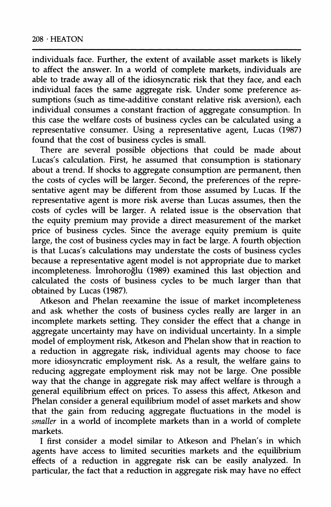**individuals face. Further, the extent of available asset markets is likely to affect the answer. In a world of complete markets, individuals are able to trade away all of the idiosyncratic risk that they face, and each individual faces the same aggregate risk. Under some preference assumptions (such as time-additive constant relative risk aversion), each individual consumes a constant fraction of aggregate consumption. In this case the welfare costs of business cycles can be calculated using a representative consumer. Using a representative agent, Lucas (1987) found that the cost of business cycles is small.** 

**There are several possible objections that could be made about Lucas's calculation. First, he assumed that consumption is stationary about a trend. If shocks to aggregate consumption are permanent, then the costs of cycles will be larger. Second, the preferences of the representative agent may be different from those assumed by Lucas. If the representative agent is more risk averse than Lucas assumes, then the costs of cycles will be larger. A related issue is the observation that the equity premium may provide a direct measurement of the market price of business cycles. Since the average equity premium is quite large, the cost of business cycles may in fact be large. A fourth objection is that Lucas's calculations may understate the costs of business cycles because a representative agent model is not appropriate due to market incompleteness. Imrohoroglu (1989) examined this last objection and calculated the costs of business cycles to be much larger than that obtained by Lucas (1987).** 

**Atkeson and Phelan reexamine the issue of market incompleteness and ask whether the costs of business cycles really are larger in an incomplete markets setting. They consider the effect that a change in aggregate uncertainty may have on individual uncertainty. In a simple model of employment risk, Atkeson and Phelan show that in reaction to a reduction in aggregate risk, individual agents may choose to face more idiosyncratic employment risk. As a result, the welfare gains to reducing aggregate employment risk may not be large. One possible way that the change in aggregate risk may affect welfare is through a general equilibrium effect on prices. To assess this affect, Atkeson and Phelan consider a general equilibrium model of asset markets and show that the gain from reducing aggregate fluctuations in the model is smaller in a world of incomplete markets than in a world of complete markets.** 

**I first consider a model similar to Atkeson and Phelan's in which agents have access to limited securities markets and the equilibrium effects of a reduction in aggregate risk can be easily analyzed. In particular, the fact that a reduction in aggregate risk may have no effect**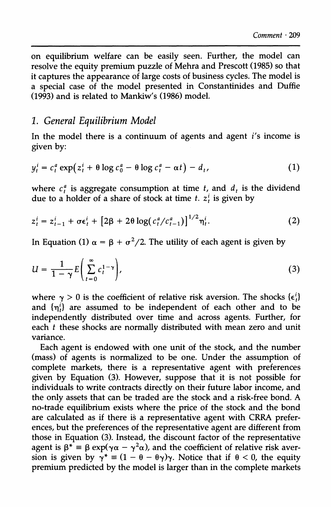**on equilibrium welfare can be easily seen. Further, the model can resolve the equity premium puzzle of Mehra and Prescott (1985) so that it captures the appearance of large costs of business cycles. The model is a special case of the model presented in Constantinides and Duffie (1993) and is related to Mankiw's (1986) model.** 

### **1. General Equilibrium Model**

**In the model there is a continuum of agents and agent i's income is given by:** 

$$
y_t^i = c_t^a \exp(z_t^i + \theta \log c_0^a - \theta \log c_t^a - \alpha t) - d_t,
$$
\n(1)

where  $c_t^a$  is aggregate consumption at time t, and  $d_t$  is the dividend due to a holder of a share of stock at time  $t$ .  $z_t^i$  is given by

$$
z_t^i = z_{t-1}^i + \sigma \epsilon_t^i + \left[2\beta + 2\theta \log(c_t^a / c_{t-1}^a)\right]^{1/2} \eta_t^i.
$$
 (2)

In Equation (1)  $\alpha = \beta + \sigma^2/2$ . The utility of each agent is given by

$$
U = \frac{1}{1 - \gamma} E \left( \sum_{t=0}^{\infty} c_t^{1 - \gamma} \right),
$$
 (3)

where  $\gamma > 0$  is the coefficient of relative risk aversion. The shocks  $\{\epsilon_i^i\}$ **and {it} are assumed to be independent of each other and to be independently distributed over time and across agents. Further, for each t these shocks are normally distributed with mean zero and unit variance.** 

**Each agent is endowed with one unit of the stock, and the number (mass) of agents is normalized to be one. Under the assumption of complete markets, there is a representative agent with preferences given by Equation (3). However, suppose that it is not possible for individuals to write contracts directly on their future labor income, and the only assets that can be traded are the stock and a risk-free bond. A no-trade equilibrium exists where the price of the stock and the bond are calculated as if there is a representative agent with CRRA preferences, but the preferences of the representative agent are different from those in Equation (3). Instead, the discount factor of the representative**  agent is  $\beta^* = \beta \exp(\gamma \alpha - \gamma^2 \alpha)$ , and the coefficient of relative risk aversion is given by  $y^* = (1 - \theta - \theta y)y$ . Notice that if  $\theta < 0$ , the equity **premium predicted by the model is larger than in the complete markets**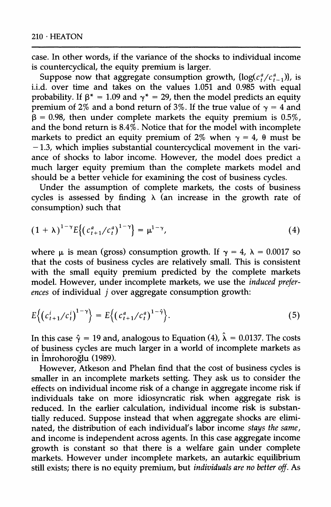**case. In other words, if the variance of the shocks to individual income is countercyclical, the equity premium is larger.** 

Suppose now that aggregate consumption growth,  $\{ \log(c_f^a/c_{t-1}^a) \}$ , is **i.i.d. over time and takes on the values 1.051 and 0.985 with equal**  probability. If  $\beta^* = 1.09$  and  $\gamma^* = 29$ , then the model predicts an equity **premium of 2% and a bond return of 3%. If the true value of**  $\gamma = 4$  **and**  $\beta$  = 0.98, then under complete markets the equity premium is 0.5%, **and the bond return is 8.4%. Notice that for the model with incomplete**  markets to predict an equity premium of  $2\%$  when  $\gamma = 4$ ,  $\theta$  must be **-1.3, which implies substantial countercyclical movement in the variance of shocks to labor income. However, the model does predict a much larger equity premium than the complete markets model and should be a better vehicle for examining the cost of business cycles.** 

**Under the assumption of complete markets, the costs of business cycles is assessed by finding h (an increase in the growth rate of consumption) such that** 

$$
(1+\lambda)^{1-\gamma}E\left\{\left(c_{t+1}^a/c_t^a\right)^{1-\gamma}\right\}=\mu^{1-\gamma},\tag{4}
$$

**where**  $\mu$  is mean (gross) consumption growth. If  $\gamma = 4$ ,  $\lambda = 0.0017$  so **that the costs of business cycles are relatively small. This is consistent with the small equity premium predicted by the complete markets model. However, under incomplete markets, we use the induced preferences of individual j over aggregate consumption growth:** 

$$
E\Big\{\big(c_{t+1}^i/c_t^i\big)^{1-\gamma}\Big\} = E\Big\{\big(c_{t+1}^a/c_t^a\big)^{1-\hat{\gamma}}\Big\}.
$$
 (5)

In this case  $\hat{\gamma} = 19$  and, analogous to Equation (4),  $\hat{\lambda} = 0.0137$ . The costs **of business cycles are much larger in a world of incomplete markets as in imrohoroglu (1989).** 

**However, Atkeson and Phelan find that the cost of business cycles is smaller in an incomplete markets setting. They ask us to consider the effects on individual income risk of a change in aggregate income risk if individuals take on more idiosyncratic risk when aggregate risk is reduced. In the earlier calculation, individual income risk is substantially reduced. Suppose instead that when aggregate shocks are elimi**nated, the distribution of each individual's labor income stays the same, **and income is independent across agents. In this case aggregate income growth is constant so that there is a welfare gain under complete markets. However under incomplete markets, an autarkic equilibrium still exists; there is no equity premium, but individuals are no better off. As**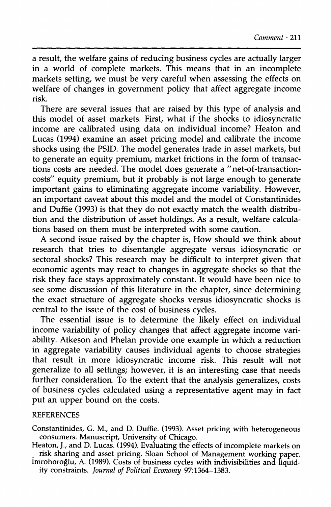**a result, the welfare gains of reducing business cycles are actually larger in a world of complete markets. This means that in an incomplete markets setting, we must be very careful when assessing the effects on welfare of changes in government policy that affect aggregate income risk.** 

**There are several issues that are raised by this type of analysis and this model of asset markets. First, what if the shocks to idiosyncratic income are calibrated using data on individual income? Heaton and Lucas (1994) examine an asset pricing model and calibrate the income shocks using the PSID. The model generates trade in asset markets, but to generate an equity premium, market frictions in the form of transactions costs are needed. The model does generate a "net-of-transactioncosts" equity premium, but it probably is not large enough to generate important gains to eliminating aggregate income variability. However, an important caveat about this model and the model of Constantinides and Duffie (1993) is that they do not exactly match the wealth distribution and the distribution of asset holdings. As a result, welfare calculations based on them must be interpreted with some caution.** 

**A second issue raised by the chapter is, How should we think about research that tries to disentangle aggregate versus idiosyncratic or sectoral shocks? This research may be difficult to interpret given that economic agents may react to changes in aggregate shocks so that the risk they face stays approximately constant. It would have been nice to see some discussion of this literature in the chapter, since determining the exact structure of aggregate shocks versus idiosyncratic shocks is**  central to the issue of the cost of business cycles.

**The essential issue is to determine the likely effect on individual income variability of policy changes that affect aggregate income variability. Atkeson and Phelan provide one example in which a reduction in aggregate variability causes individual agents to choose strategies that result in more idiosyncratic income risk. This result will not generalize to all settings; however, it is an interesting case that needs further consideration. To the extent that the analysis generalizes, costs of business cycles calculated using a representative agent may in fact put an upper bound on the costs.** 

#### **REFERENCES**

**Constantinides, G. M., and D. Duffie. (1993). Asset pricing with heterogeneous consumers. Manuscript, University of Chicago.** 

**Heaton, J., and D. Lucas. (1994). Evaluating the effects of incomplete markets on risk sharing and asset pricing. Sloan School of Management working paper.** 

**Imrohoroglu, A. (1989). Costs of business cycles with indivisibilities and liquidity constraints. Journal of Political Economy 97:1364-1383.**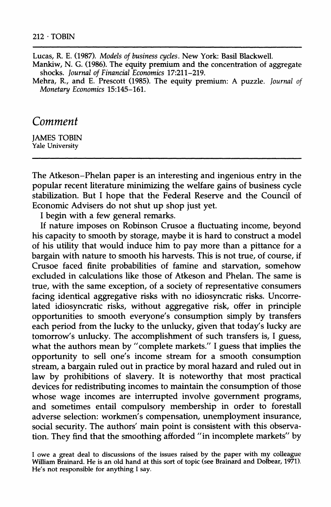**Lucas, R. E. (1987). Models of business cycles. New York: Basil Blackwell.** 

**Mankiw, N. G. (1986). The equity premium and the concentration of aggregate shocks. Journal of Financial Economics 17:211-219.** 

**Mehra, R., and E. Prescott (1985). The equity premium: A puzzle. Journal of Monetary Economics 15:145-161.** 

### **Comment**

**JAMES TOBIN Yale University** 

**The Atkeson-Phelan paper is an interesting and ingenious entry in the popular recent literature minimizing the welfare gains of business cycle stabilization. But I hope that the Federal Reserve and the Council of Economic Advisers do not shut up shop just yet.** 

**I begin with a few general remarks.** 

**If nature imposes on Robinson Crusoe a fluctuating income, beyond his capacity to smooth by storage, maybe it is hard to construct a model of his utility that would induce him to pay more than a pittance for a bargain with nature to smooth his harvests. This is not true, of course, if Crusoe faced finite probabilities of famine and starvation, somehow excluded in calculations like those of Atkeson and Phelan. The same is true, with the same exception, of a society of representative consumers facing identical aggregative risks with no idiosyncratic risks. Uncorrelated idiosyncratic risks, without aggregative risk, offer in principle opportunities to smooth everyone's consumption simply by transfers each period from the lucky to the unlucky, given that today's lucky are tomorrow's unlucky. The accomplishment of such transfers is, I guess,**  what the authors mean by "complete markets." I guess that implies the **opportunity to sell one's income stream for a smooth consumption stream, a bargain ruled out in practice by moral hazard and ruled out in law by prohibitions of slavery. It is noteworthy that most practical devices for redistributing incomes to maintain the consumption of those whose wage incomes are interrupted involve government programs, and sometimes entail compulsory membership in order to forestall adverse selection: workmen's compensation, unemployment insurance, social security. The authors' main point is consistent with this observation. They find that the smoothing afforded "in incomplete markets" by** 

**I owe a great deal to discussions of the issues raised by the paper with my colleague William Brainard. He is an old hand at this sort of topic (see Brainard and Dolbear, 1971). He's not responsible for anything I say.**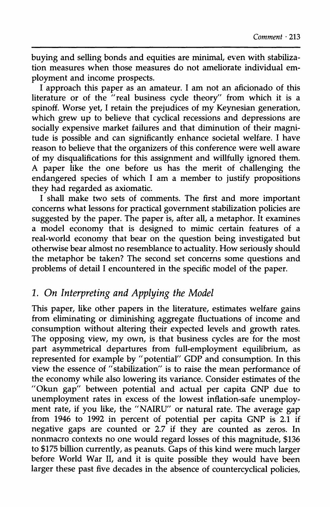**buying and selling bonds and equities are minimal, even with stabilization measures when those measures do not ameliorate individual employment and income prospects.** 

**I approach this paper as an amateur. I am not an aficionado of this literature or of the "real business cycle theory" from which it is a spinoff. Worse yet, I retain the prejudices of my Keynesian generation, which grew up to believe that cyclical recessions and depressions are socially expensive market failures and that diminution of their magnitude is possible and can significantly enhance societal welfare. I have reason to believe that the organizers of this conference were well aware of my disqualifications for this assignment and willfully ignored them. A paper like the one before us has the merit of challenging the endangered species of which I am a member to justify propositions they had regarded as axiomatic.** 

**I shall make two sets of comments. The first and more important concerns what lessons for practical government stabilization policies are suggested by the paper. The paper is, after all, a metaphor. It examines a model economy that is designed to mimic certain features of a real-world economy that bear on the question being investigated but otherwise bear almost no resemblance to actuality. How seriously should the metaphor be taken? The second set concerns some questions and problems of detail I encountered in the specific model of the paper.** 

# **1. On Interpreting and Applying the Model**

**This paper, like other papers in the literature, estimates welfare gains from eliminating or diminishing aggregate fluctuations of income and consumption without altering their expected levels and growth rates. The opposing view, my own, is that business cycles are for the most part asymmetrical departures from full-employment equilibrium, as represented for example by "potential" GDP and consumption. In this view the essence of "stabilization" is to raise the mean performance of the economy while also lowering its variance. Consider estimates of the "Okun gap" between potential and actual per capita GNP due to unemployment rates in excess of the lowest inflation-safe unemployment rate, if you like, the "NAIRU" or natural rate. The average gap from 1946 to 1992 in percent of potential per capita GNP is 2.1 if negative gaps are counted or 2.7 if they are counted as zeros. In nonmacro contexts no one would regard losses of this magnitude, \$136 to \$175 billion currently, as peanuts. Gaps of this kind were much larger before World War II, and it is quite possible they would have been larger these past five decades in the absence of countercyclical policies,**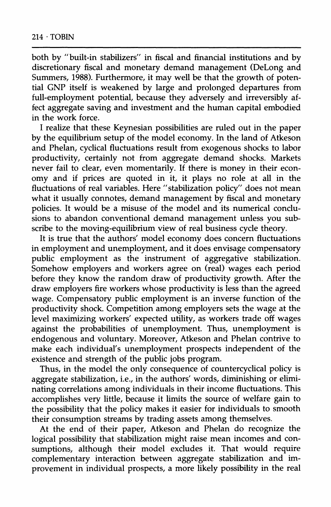**both by "built-in stabilizers" in fiscal and financial institutions and by discretionary fiscal and monetary demand management (DeLong and Summers, 1988). Furthermore, it may well be that the growth of potential GNP itself is weakened by large and prolonged departures from full-employment potential, because they adversely and irreversibly affect aggregate saving and investment and the human capital embodied in the work force.** 

**I realize that these Keynesian possibilities are ruled out in the paper by the equilibrium setup of the model economy. In the land of Atkeson and Phelan, cyclical fluctuations result from exogenous shocks to labor productivity, certainly not from aggregate demand shocks. Markets never fail to clear, even momentarily. If there is money in their economy and if prices are quoted in it, it plays no role at all in the fluctuations of real variables. Here "stabilization policy" does not mean what it usually connotes, demand management by fiscal and monetary policies. It would be a misuse of the model and its numerical conclusions to abandon conventional demand management unless you subscribe to the moving-equilibrium view of real business cycle theory.** 

**It is true that the authors' model economy does concern fluctuations in employment and unemployment, and it does envisage compensatory public employment as the instrument of aggregative stabilization. Somehow employers and workers agree on (real) wages each period before they know the random draw of productivity growth. After the draw employers fire workers whose productivity is less than the agreed wage. Compensatory public employment is an inverse function of the productivity shock. Competition among employers sets the wage at the level maximizing workers' expected utility, as workers trade off wages against the probabilities of unemployment. Thus, unemployment is endogenous and voluntary. Moreover, Atkeson and Phelan contrive to make each individual's unemployment prospects independent of the existence and strength of the public jobs program.** 

**Thus, in the model the only consequence of countercyclical policy is aggregate stabilization, i.e., in the authors' words, diminishing or eliminating correlations among individuals in their income fluctuations. This accomplishes very little, because it limits the source of welfare gain to the possibility that the policy makes it easier for individuals to smooth their consumption streams by trading assets among themselves.** 

**At the end of their paper, Atkeson and Phelan do recognize the logical possibility that stabilization might raise mean incomes and consumptions, although their model excludes it. That would require complementary interaction between aggregate stabilization and improvement in individual prospects, a more likely possibility in the real**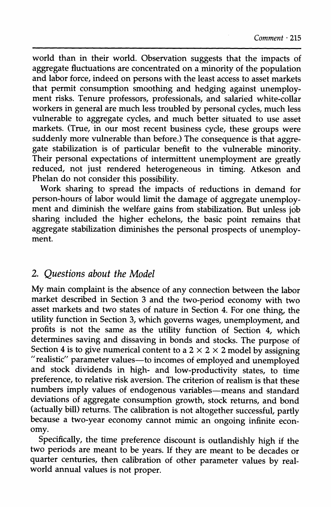**world than in their world. Observation suggests that the impacts of aggregate fluctuations are concentrated on a minority of the population and labor force, indeed on persons with the least access to asset markets that permit consumption smoothing and hedging against unemployment risks. Tenure professors, professionals, and salaried white-collar workers in general are much less troubled by personal cycles, much less vulnerable to aggregate cycles, and much better situated to use asset markets. (True, in our most recent business cycle, these groups were suddenly more vulnerable than before.) The consequence is that aggregate stabilization is of particular benefit to the vulnerable minority. Their personal expectations of intermittent unemployment are greatly reduced, not just rendered heterogeneous in timing. Atkeson and Phelan do not consider this possibility.** 

**Work sharing to spread the impacts of reductions in demand for person-hours of labor would limit the damage of aggregate unemployment and diminish the welfare gains from stabilization. But unless job sharing included the higher echelons, the basic point remains that aggregate stabilization diminishes the personal prospects of unemployment.** 

### **2. Questions about the Model**

**My main complaint is the absence of any connection between the labor market described in Section 3 and the two-period economy with two asset markets and two states of nature in Section 4. For one thing, the utility function in Section 3, which governs wages, unemployment, and profits is not the same as the utility function of Section 4, which determines saving and dissaving in bonds and stocks. The purpose of**  Section 4 is to give numerical content to a  $2 \times 2 \times 2$  model by assigning **"realistic" parameter values-to incomes of employed and unemployed and stock dividends in high- and low-productivity states, to time preference, to relative risk aversion. The criterion of realism is that these numbers imply values of endogenous variables-means and standard deviations of aggregate consumption growth, stock returns, and bond (actually bill) returns. The calibration is not altogether successful, partly because a two-year economy cannot mimic an ongoing infinite economy.** 

**Specifically, the time preference discount is outlandishly high if the two periods are meant to be years. If they are meant to be decades or quarter centuries, then calibration of other parameter values by realworld annual values is not proper.**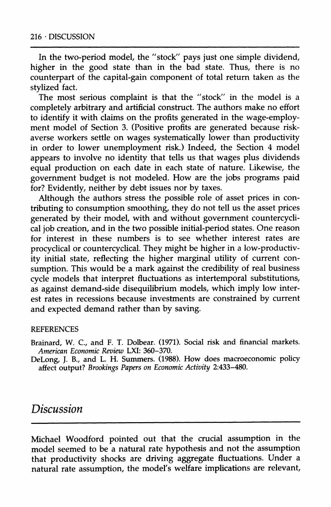**In the two-period model, the "stock" pays just one simple dividend, higher in the good state than in the bad state. Thus, there is no counterpart of the capital-gain component of total return taken as the stylized fact.** 

**The most serious complaint is that the "stock" in the model is a completely arbitrary and artificial construct. The authors make no effort to identify it with claims on the profits generated in the wage-employment model of Section 3. (Positive profits are generated because riskaverse workers settle on wages systematically lower than productivity in order to lower unemployment risk.) Indeed, the Section 4 model appears to involve no identity that tells us that wages plus dividends equal production on each date in each state of nature. Likewise, the government budget is not modeled. How are the jobs programs paid for? Evidently, neither by debt issues nor by taxes.** 

**Although the authors stress the possible role of asset prices in contributing to consumption smoothing, they do not tell us the asset prices generated by their model, with and without government countercyclical job creation, and in the two possible initial-period states. One reason for interest in these numbers is to see whether interest rates are procyclical or countercyclical. They might be higher in a low-productivity initial state, reflecting the higher marginal utility of current consumption. This would be a mark against the credibility of real business cycle models that interpret fluctuations as intertemporal substitutions, as against demand-side disequilibrium models, which imply low interest rates in recessions because investments are constrained by current and expected demand rather than by saving.** 

#### **REFERENCES**

**Brainard, W. C., and F. T. Dolbear. (1971). Social risk and financial markets. American Economic Review LXI: 360-370.** 

**DeLong, J. B., and L. H. Summers. (1988). How does macroeconomic policy affect output? Brookings Papers on Economic Activity 2:433-480.** 

# **Discussion**

**Michael Woodford pointed out that the crucial assumption in the model seemed to be a natural rate hypothesis and not the assumption that productivity shocks are driving aggregate fluctuations. Under a natural rate assumption, the model's welfare implications are relevant,**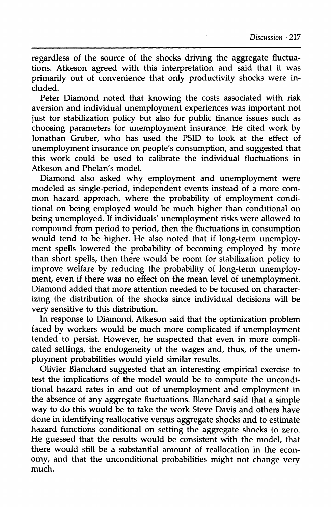**regardless of the source of the shocks driving the aggregate fluctuations. Atkeson agreed with this interpretation and said that it was primarily out of convenience that only productivity shocks were included.** 

**Peter Diamond noted that knowing the costs associated with risk aversion and individual unemployment experiences was important not just for stabilization policy but also for public finance issues such as choosing parameters for unemployment insurance. He cited work by Jonathan Gruber, who has used the PSID to look at the effect of unemployment insurance on people's consumption, and suggested that this work could be used to calibrate the individual fluctuations in Atkeson and Phelan's model.** 

**Diamond also asked why employment and unemployment were modeled as single-period, independent events instead of a more common hazard approach, where the probability of employment conditional on being employed would be much higher than conditional on being unemployed. If individuals' unemployment risks were allowed to compound from period to period, then the fluctuations in consumption would tend to be higher. He also noted that if long-term unemployment spells lowered the probability of becoming employed by more than short spells, then there would be room for stabilization policy to improve welfare by reducing the probability of long-term unemploy**ment, even if there was no effect on the mean level of unemployment. **Diamond added that more attention needed to be focused on characterizing the distribution of the shocks since individual decisions will be very sensitive to this distribution.** 

**In response to Diamond, Atkeson said that the optimization problem faced by workers would be much more complicated if unemployment tended to persist. However, he suspected that even in more complicated settings, the endogeneity of the wages and, thus, of the unemployment probabilities would yield similar results.** 

**Olivier Blanchard suggested that an interesting empirical exercise to test the implications of the model would be to compute the unconditional hazard rates in and out of unemployment and employment in the absence of any aggregate fluctuations. Blanchard said that a simple way to do this would be to take the work Steve Davis and others have done in identifying reallocative versus aggregate shocks and to estimate hazard functions conditional on setting the aggregate shocks to zero. He guessed that the results would be consistent with the model, that there would still be a substantial amount of reallocation in the economy, and that the unconditional probabilities might not change very much.**